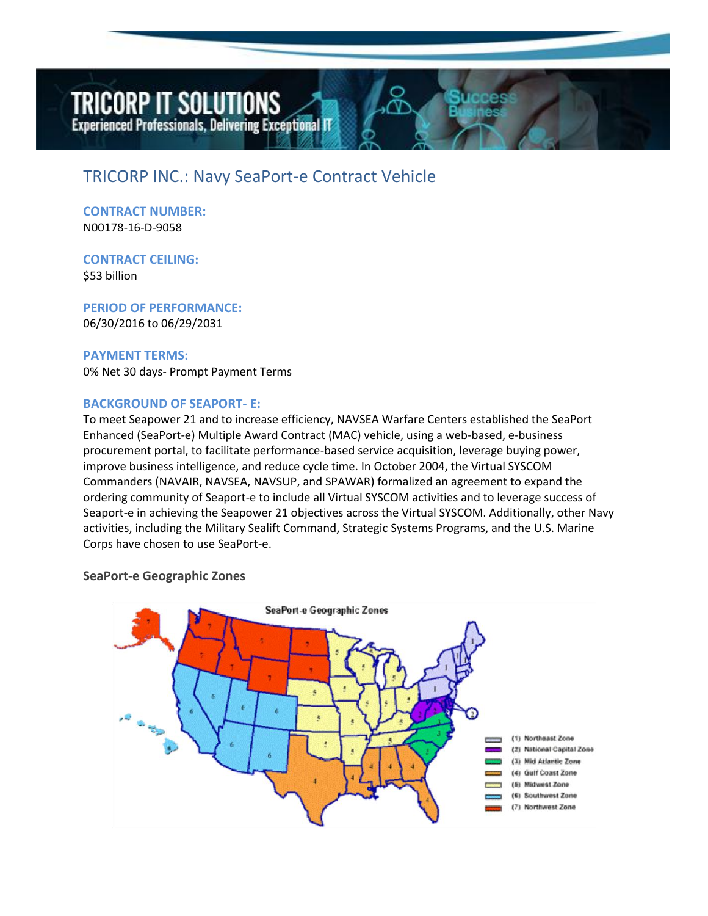# **TRICORP IT SOLUTIONS**

**Experienced Professionals, Delivering Exceptional IT** 

# TRICORP INC.: Navy SeaPort-e Contract Vehicle

**CONTRACT NUMBER:**  N00178-16-D-9058

**CONTRACT CEILING:**  \$53 billion

**PERIOD OF PERFORMANCE:**  06/30/2016 to 06/29/2031

**PAYMENT TERMS:** 0% Net 30 days- Prompt Payment Terms

## **BACKGROUND OF SEAPORT- E:**

To meet Seapower 21 and to increase efficiency, NAVSEA Warfare Centers established the SeaPort Enhanced (SeaPort-e) Multiple Award Contract (MAC) vehicle, using a web-based, e-business procurement portal, to facilitate performance-based service acquisition, leverage buying power, improve business intelligence, and reduce cycle time. In October 2004, the Virtual SYSCOM Commanders (NAVAIR, NAVSEA, NAVSUP, and SPAWAR) formalized an agreement to expand the ordering community of Seaport-e to include all Virtual SYSCOM activities and to leverage success of Seaport-e in achieving the Seapower 21 objectives across the Virtual SYSCOM. Additionally, other Navy activities, including the Military Sealift Command, Strategic Systems Programs, and the U.S. Marine Corps have chosen to use SeaPort-e.

#### **SeaPort-e Geographic Zones**

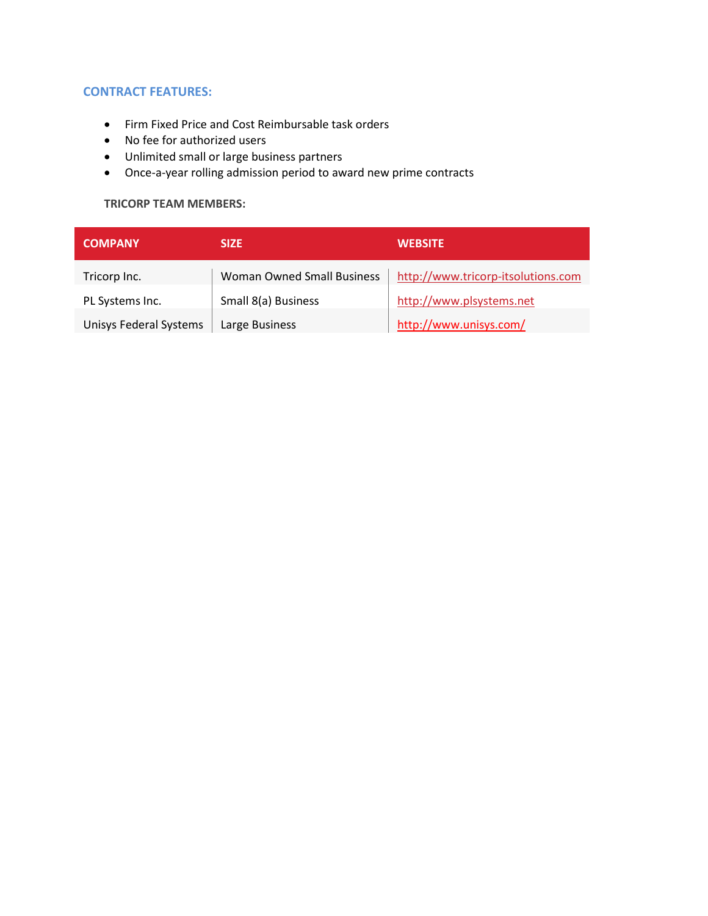## **CONTRACT FEATURES:**

- Firm Fixed Price and Cost Reimbursable task orders
- No fee for authorized users
- Unlimited small or large business partners
- Once-a-year rolling admission period to award new prime contracts

#### **TRICORP TEAM MEMBERS:**

| <b>COMPANY</b>                | <b>SIZE</b>                       | <b>WEBSITE</b>                     |
|-------------------------------|-----------------------------------|------------------------------------|
| Tricorp Inc.                  | <b>Woman Owned Small Business</b> | http://www.tricorp-itsolutions.com |
| PL Systems Inc.               | Small 8(a) Business               | http://www.plsystems.net           |
| <b>Unisys Federal Systems</b> | Large Business                    | http://www.unisys.com/             |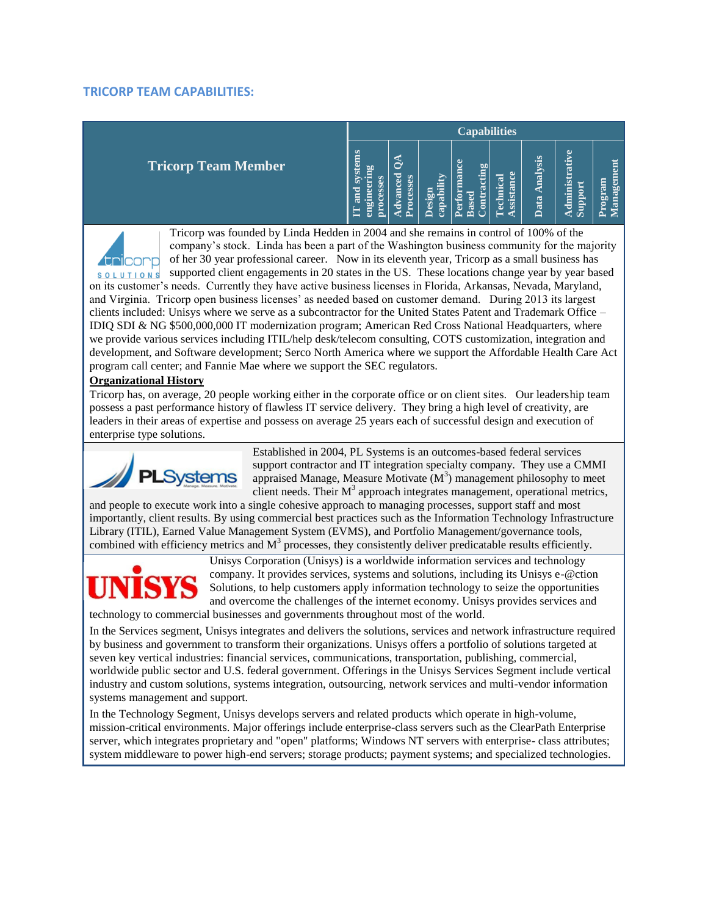#### **TRICORP TEAM CAPABILITIES:**

|                            | <b>Capabilities</b> |                                   |                                        |                                           |                            |                         |                                           |                                         |
|----------------------------|---------------------|-----------------------------------|----------------------------------------|-------------------------------------------|----------------------------|-------------------------|-------------------------------------------|-----------------------------------------|
| <b>Tricorp Team Member</b> |                     | anced<br>cesses<br>ð<br>$\bullet$ | lity<br>一<br>Design<br>ಡ<br><b>Cap</b> | mance<br>cting<br>ಡ<br>erfor<br>Base<br>ទ | ssistance<br>echnical<br>= | sis<br>naly<br>ata<br>≏ | ۶e<br>trati<br>S<br>dmini<br>noddin<br>ÜΩ | E<br>$\mathbf{g}$<br>m<br>ಡ<br>ngo<br>ã |

Tricorp was founded by Linda Hedden in 2004 and she remains in control of 100% of the company's stock. Linda has been a part of the Washington business community for the majority of her 30 year professional career. Now in its eleventh year, Tricorp as a small business has **Addicorp** s o LUTIONs supported client engagements in 20 states in the US. These locations change year by year based on its customer's needs. Currently they have active business licenses in Florida, Arkansas, Nevada, Maryland, and Virginia. Tricorp open business licenses' as needed based on customer demand. During 2013 its largest clients included: Unisys where we serve as a subcontractor for the United States Patent and Trademark Office – IDIQ SDI & NG \$500,000,000 IT modernization program; American Red Cross National Headquarters, where we provide various services including ITIL/help desk/telecom consulting, COTS customization, integration and development, and Software development; Serco North America where we support the Affordable Health Care Act program call center; and Fannie Mae where we support the SEC regulators.

#### **Organizational History**

Tricorp has, on average, 20 people working either in the corporate office or on client sites. Our leadership team possess a past performance history of flawless IT service delivery. They bring a high level of creativity, are leaders in their areas of expertise and possess on average 25 years each of successful design and execution of enterprise type solutions.



Established in 2004, PL Systems is an outcomes-based federal services support contractor and IT integration specialty company. They use a CMMI appraised Manage, Measure Motivate  $(M^3)$  management philosophy to meet client needs. Their  $M^3$  approach integrates management, operational metrics,

and people to execute work into a single cohesive approach to managing processes, support staff and most importantly, client results. By using commercial best practices such as the Information Technology Infrastructure Library (ITIL), Earned Value Management System (EVMS), and Portfolio Management/governance tools, combined with efficiency metrics and  $M<sup>3</sup>$  processes, they consistently deliver predicatable results efficiently.



Unisys Corporation (Unisys) is a worldwide information services and technology company. It provides services, systems and solutions, including its Unisys e-@ction Solutions, to help customers apply information technology to seize the opportunities and overcome the challenges of the internet economy. Unisys provides services and technology to commercial businesses and governments throughout most of the world.

In the Services segment, Unisys integrates and delivers the solutions, services and network infrastructure required by business and government to transform their organizations. Unisys offers a portfolio of solutions targeted at seven key vertical industries: financial services, communications, transportation, publishing, commercial, worldwide public sector and U.S. federal government. Offerings in the Unisys Services Segment include vertical industry and custom solutions, systems integration, outsourcing, network services and multi-vendor information systems management and support.

In the Technology Segment, Unisys develops servers and related products which operate in high-volume, mission-critical environments. Major offerings include enterprise-class servers such as the ClearPath Enterprise server, which integrates proprietary and "open" platforms; Windows NT servers with enterprise- class attributes; system middleware to power high-end servers; storage products; payment systems; and specialized technologies.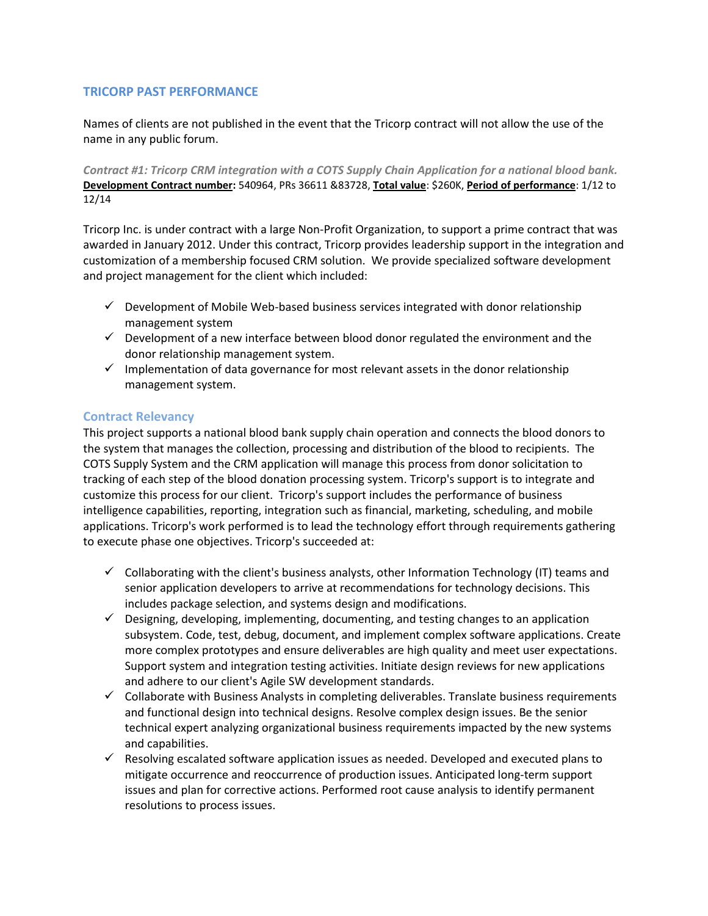## **TRICORP PAST PERFORMANCE**

Names of clients are not published in the event that the Tricorp contract will not allow the use of the name in any public forum.

*Contract #1: Tricorp CRM integration with a COTS Supply Chain Application for a national blood bank.* **Development Contract number:** 540964, PRs 36611 &83728, **Total value**: \$260K, **Period of performance**: 1/12 to 12/14

Tricorp Inc. is under contract with a large Non-Profit Organization, to support a prime contract that was awarded in January 2012. Under this contract, Tricorp provides leadership support in the integration and customization of a membership focused CRM solution. We provide specialized software development and project management for the client which included:

- $\checkmark$  Development of Mobile Web-based business services integrated with donor relationship management system
- $\checkmark$  Development of a new interface between blood donor regulated the environment and the donor relationship management system.
- $\checkmark$  Implementation of data governance for most relevant assets in the donor relationship management system.

#### **Contract Relevancy**

This project supports a national blood bank supply chain operation and connects the blood donors to the system that manages the collection, processing and distribution of the blood to recipients. The COTS Supply System and the CRM application will manage this process from donor solicitation to tracking of each step of the blood donation processing system. Tricorp's support is to integrate and customize this process for our client. Tricorp's support includes the performance of business intelligence capabilities, reporting, integration such as financial, marketing, scheduling, and mobile applications. Tricorp's work performed is to lead the technology effort through requirements gathering to execute phase one objectives. Tricorp's succeeded at:

- $\checkmark$  Collaborating with the client's business analysts, other Information Technology (IT) teams and senior application developers to arrive at recommendations for technology decisions. This includes package selection, and systems design and modifications.
- $\checkmark$  Designing, developing, implementing, documenting, and testing changes to an application subsystem. Code, test, debug, document, and implement complex software applications. Create more complex prototypes and ensure deliverables are high quality and meet user expectations. Support system and integration testing activities. Initiate design reviews for new applications and adhere to our client's Agile SW development standards.
- $\checkmark$  Collaborate with Business Analysts in completing deliverables. Translate business requirements and functional design into technical designs. Resolve complex design issues. Be the senior technical expert analyzing organizational business requirements impacted by the new systems and capabilities.
- $\checkmark$  Resolving escalated software application issues as needed. Developed and executed plans to mitigate occurrence and reoccurrence of production issues. Anticipated long-term support issues and plan for corrective actions. Performed root cause analysis to identify permanent resolutions to process issues.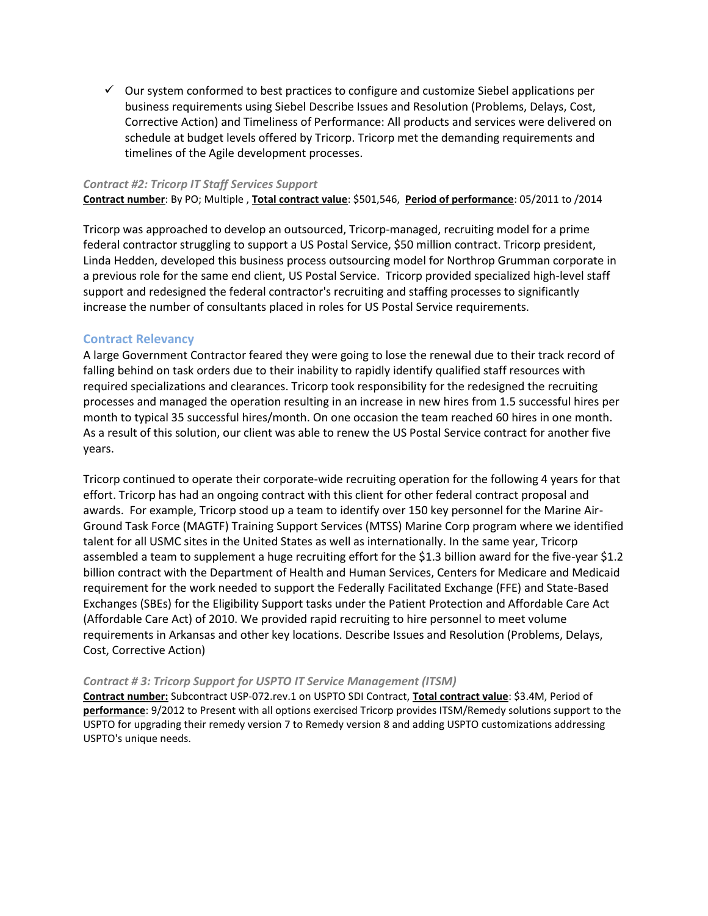$\checkmark$  Our system conformed to best practices to configure and customize Siebel applications per business requirements using Siebel Describe Issues and Resolution (Problems, Delays, Cost, Corrective Action) and Timeliness of Performance: All products and services were delivered on schedule at budget levels offered by Tricorp. Tricorp met the demanding requirements and timelines of the Agile development processes.

#### *Contract #2: Tricorp IT Staff Services Support*

**Contract number**: By PO; Multiple , **Total contract value**: \$501,546, **Period of performance**: 05/2011 to /2014

Tricorp was approached to develop an outsourced, Tricorp-managed, recruiting model for a prime federal contractor struggling to support a US Postal Service, \$50 million contract. Tricorp president, Linda Hedden, developed this business process outsourcing model for Northrop Grumman corporate in a previous role for the same end client, US Postal Service. Tricorp provided specialized high-level staff support and redesigned the federal contractor's recruiting and staffing processes to significantly increase the number of consultants placed in roles for US Postal Service requirements.

#### **Contract Relevancy**

A large Government Contractor feared they were going to lose the renewal due to their track record of falling behind on task orders due to their inability to rapidly identify qualified staff resources with required specializations and clearances. Tricorp took responsibility for the redesigned the recruiting processes and managed the operation resulting in an increase in new hires from 1.5 successful hires per month to typical 35 successful hires/month. On one occasion the team reached 60 hires in one month. As a result of this solution, our client was able to renew the US Postal Service contract for another five years.

Tricorp continued to operate their corporate-wide recruiting operation for the following 4 years for that effort. Tricorp has had an ongoing contract with this client for other federal contract proposal and awards. For example, Tricorp stood up a team to identify over 150 key personnel for the Marine Air-Ground Task Force (MAGTF) Training Support Services (MTSS) Marine Corp program where we identified talent for all USMC sites in the United States as well as internationally. In the same year, Tricorp assembled a team to supplement a huge recruiting effort for the \$1.3 billion award for the five-year \$1.2 billion contract with the Department of Health and Human Services, Centers for Medicare and Medicaid requirement for the work needed to support the Federally Facilitated Exchange (FFE) and State-Based Exchanges (SBEs) for the Eligibility Support tasks under the Patient Protection and Affordable Care Act (Affordable Care Act) of 2010. We provided rapid recruiting to hire personnel to meet volume requirements in Arkansas and other key locations. Describe Issues and Resolution (Problems, Delays, Cost, Corrective Action)

#### *Contract # 3: Tricorp Support for USPTO IT Service Management (ITSM)*

**Contract number:** Subcontract USP-072.rev.1 on USPTO SDI Contract, **Total contract value**: \$3.4M, Period of **performance**: 9/2012 to Present with all options exercised Tricorp provides ITSM/Remedy solutions support to the USPTO for upgrading their remedy version 7 to Remedy version 8 and adding USPTO customizations addressing USPTO's unique needs.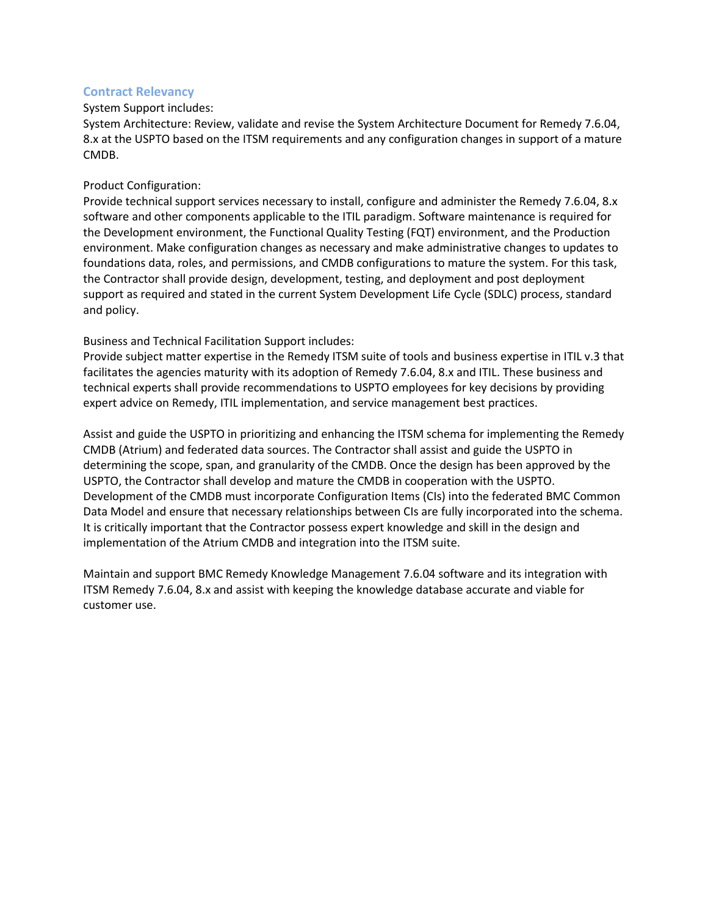### **Contract Relevancy**

#### System Support includes:

System Architecture: Review, validate and revise the System Architecture Document for Remedy 7.6.04, 8.x at the USPTO based on the ITSM requirements and any configuration changes in support of a mature CMDB.

#### Product Configuration:

Provide technical support services necessary to install, configure and administer the Remedy 7.6.04, 8.x software and other components applicable to the ITIL paradigm. Software maintenance is required for the Development environment, the Functional Quality Testing (FQT) environment, and the Production environment. Make configuration changes as necessary and make administrative changes to updates to foundations data, roles, and permissions, and CMDB configurations to mature the system. For this task, the Contractor shall provide design, development, testing, and deployment and post deployment support as required and stated in the current System Development Life Cycle (SDLC) process, standard and policy.

#### Business and Technical Facilitation Support includes:

Provide subject matter expertise in the Remedy ITSM suite of tools and business expertise in ITIL v.3 that facilitates the agencies maturity with its adoption of Remedy 7.6.04, 8.x and ITIL. These business and technical experts shall provide recommendations to USPTO employees for key decisions by providing expert advice on Remedy, ITIL implementation, and service management best practices.

Assist and guide the USPTO in prioritizing and enhancing the ITSM schema for implementing the Remedy CMDB (Atrium) and federated data sources. The Contractor shall assist and guide the USPTO in determining the scope, span, and granularity of the CMDB. Once the design has been approved by the USPTO, the Contractor shall develop and mature the CMDB in cooperation with the USPTO. Development of the CMDB must incorporate Configuration Items (CIs) into the federated BMC Common Data Model and ensure that necessary relationships between CIs are fully incorporated into the schema. It is critically important that the Contractor possess expert knowledge and skill in the design and implementation of the Atrium CMDB and integration into the ITSM suite.

Maintain and support BMC Remedy Knowledge Management 7.6.04 software and its integration with ITSM Remedy 7.6.04, 8.x and assist with keeping the knowledge database accurate and viable for customer use.